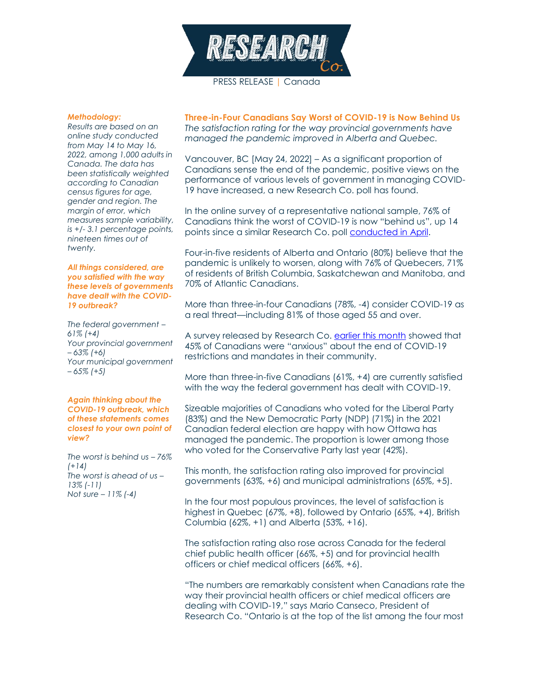

# *Methodology:*

*Results are based on an online study conducted from May 14 to May 16, 2022, among 1,000 adults in Canada. The data has been statistically weighted according to Canadian census figures for age, gender and region. The margin of error, which measures sample variability, is +/- 3.1 percentage points, nineteen times out of twenty.*

#### *All things considered, are you satisfied with the way these levels of governments have dealt with the COVID-19 outbreak?*

*The federal government – 61% (+4) Your provincial government – 63% (+6) Your municipal government – 65% (+5)*

#### *Again thinking about the COVID-19 outbreak, which of these statements comes closest to your own point of view?*

*The worst is behind us – 76% (+14) The worst is ahead of us – 13% (-11) Not sure – 11% (-4)*

**Three-in-Four Canadians Say Worst of COVID-19 is Now Behind Us** *The satisfaction rating for the way provincial governments have managed the pandemic improved in Alberta and Quebec.*

Vancouver, BC [May 24, 2022] – As a significant proportion of Canadians sense the end of the pandemic, positive views on the performance of various levels of government in managing COVID-19 have increased, a new Research Co. poll has found.

In the online survey of a representative national sample, 76% of Canadians think the worst of COVID-19 is now "behind us", up 14 points since a similar Research Co. poll [conducted in](https://researchco.ca/2022/04/22/covid-inquiry/) April.

Four-in-five residents of Alberta and Ontario (80%) believe that the pandemic is unlikely to worsen, along with 76% of Quebecers, 71% of residents of British Columbia, Saskatchewan and Manitoba, and 70% of Atlantic Canadians.

More than three-in-four Canadians (78%, -4) consider COVID-19 as a real threat—including 81% of those aged 55 and over.

A survey released by Research Co. [earlier this month](https://researchco.ca/2022/05/20/covid-restrictions/) showed that 45% of Canadians were "anxious" about the end of COVID-19 restrictions and mandates in their community.

More than three-in-five Canadians (61%, +4) are currently satisfied with the way the federal government has dealt with COVID-19.

Sizeable majorities of Canadians who voted for the Liberal Party (83%) and the New Democratic Party (NDP) (71%) in the 2021 Canadian federal election are happy with how Ottawa has managed the pandemic. The proportion is lower among those who voted for the Conservative Party last year (42%).

This month, the satisfaction rating also improved for provincial governments (63%, +6) and municipal administrations (65%, +5).

In the four most populous provinces, the level of satisfaction is highest in Quebec (67%, +8), followed by Ontario (65%, +4), British Columbia (62%, +1) and Alberta (53%, +16).

The satisfaction rating also rose across Canada for the federal chief public health officer (66%, +5) and for provincial health officers or chief medical officers (66%, +6).

"The numbers are remarkably consistent when Canadians rate the way their provincial health officers or chief medical officers are dealing with COVID-19," says Mario Canseco, President of Research Co. "Ontario is at the top of the list among the four most